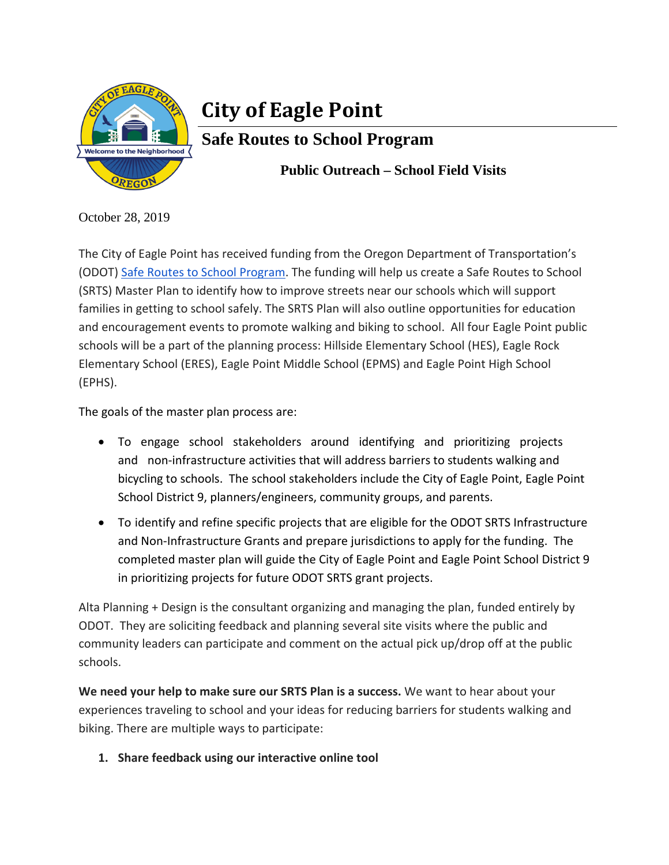

# **City of Eagle Point**

## **Safe Routes to School Program**

 **Public Outreach – School Field Visits** 

October 28, 2019

The City of Eagle Point has received funding from the Oregon Department of Transportation's (ODOT) Safe Routes to School Program. The funding will help us create a Safe Routes to School (SRTS) Master Plan to identify how to improve streets near our schools which will support families in getting to school safely. The SRTS Plan will also outline opportunities for education and encouragement events to promote walking and biking to school. All four Eagle Point public schools will be a part of the planning process: Hillside Elementary School (HES), Eagle Rock Elementary School (ERES), Eagle Point Middle School (EPMS) and Eagle Point High School (EPHS).

The goals of the master plan process are:

- To engage school stakeholders around identifying and prioritizing projects and non-infrastructure activities that will address barriers to students walking and bicycling to schools. The school stakeholders include the City of Eagle Point, Eagle Point School District 9, planners/engineers, community groups, and parents.
- To identify and refine specific projects that are eligible for the ODOT SRTS Infrastructure and Non-Infrastructure Grants and prepare jurisdictions to apply for the funding. The completed master plan will guide the City of Eagle Point and Eagle Point School District 9 in prioritizing projects for future ODOT SRTS grant projects.

Alta Planning + Design is the consultant organizing and managing the plan, funded entirely by ODOT. They are soliciting feedback and planning several site visits where the public and community leaders can participate and comment on the actual pick up/drop off at the public schools.

**We need your help to make sure our SRTS Plan is a success.** We want to hear about your experiences traveling to school and your ideas for reducing barriers for students walking and biking. There are multiple ways to participate:

**1. Share feedback using our interactive online tool**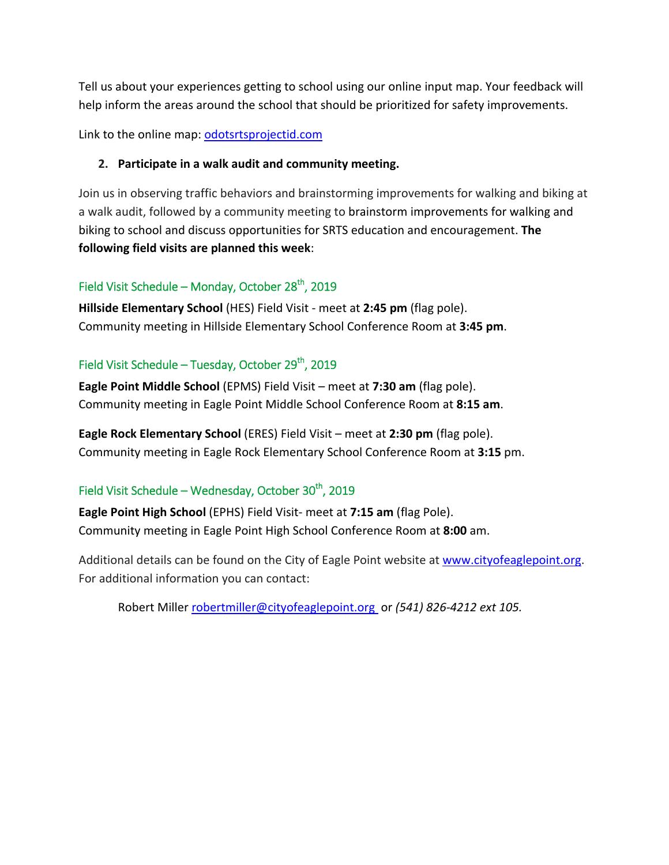Tell us about your experiences getting to school using our online input map. Your feedback will help inform the areas around the school that should be prioritized for safety improvements.

Link to the online map: odotsrtsprojectid.com

#### **2. Participate in a walk audit and community meeting.**

Join us in observing traffic behaviors and brainstorming improvements for walking and biking at a walk audit, followed by a community meeting to brainstorm improvements for walking and biking to school and discuss opportunities for SRTS education and encouragement. **The following field visits are planned this week**:

#### Field Visit Schedule – Monday, October  $28<sup>th</sup>$ , 2019

**Hillside Elementary School** (HES) Field Visit ‐ meet at **2:45 pm** (flag pole). Community meeting in Hillside Elementary School Conference Room at **3:45 pm**.

### Field Visit Schedule – Tuesday, October 29<sup>th</sup>, 2019

**Eagle Point Middle School** (EPMS) Field Visit – meet at **7:30 am** (flag pole). Community meeting in Eagle Point Middle School Conference Room at **8:15 am**.

**Eagle Rock Elementary School** (ERES) Field Visit – meet at **2:30 pm** (flag pole). Community meeting in Eagle Rock Elementary School Conference Room at **3:15** pm.

#### Field Visit Schedule – Wednesday, October 30<sup>th</sup>, 2019

**Eagle Point High School** (EPHS) Field Visit‐ meet at **7:15 am** (flag Pole). Community meeting in Eagle Point High School Conference Room at **8:00** am.

Additional details can be found on the City of Eagle Point website at www.cityofeaglepoint.org. For additional information you can contact:

Robert Miller robertmiller@cityofeaglepoint.org or *(541) 826‐4212 ext 105.*